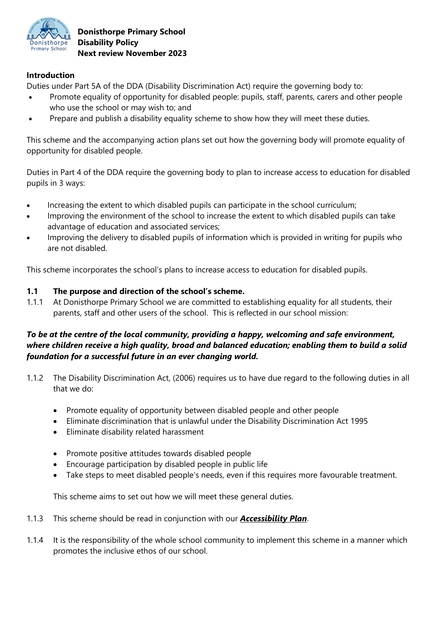

#### **Introduction**

Duties under Part 5A of the DDA (Disability Discrimination Act) require the governing body to:

- Promote equality of opportunity for disabled people: pupils, staff, parents, carers and other people who use the school or may wish to; and
- Prepare and publish a disability equality scheme to show how they will meet these duties.

This scheme and the accompanying action plans set out how the governing body will promote equality of opportunity for disabled people.

Duties in Part 4 of the DDA require the governing body to plan to increase access to education for disabled pupils in 3 ways:

- Increasing the extent to which disabled pupils can participate in the school curriculum;
- Improving the environment of the school to increase the extent to which disabled pupils can take advantage of education and associated services;
- Improving the delivery to disabled pupils of information which is provided in writing for pupils who are not disabled.

This scheme incorporates the school's plans to increase access to education for disabled pupils.

#### **1.1 The purpose and direction of the school's scheme.**

1.1.1 At Donisthorpe Primary School we are committed to establishing equality for all students, their parents, staff and other users of the school. This is reflected in our school mission:

## *To be at the centre of the local community, providing a happy, welcoming and safe environment, where children receive a high quality, broad and balanced education; enabling them to build a solid foundation for a successful future in an ever changing world.*

- 1.1.2 The Disability Discrimination Act, (2006) requires us to have due regard to the following duties in all that we do:
	- Promote equality of opportunity between disabled people and other people
	- Eliminate discrimination that is unlawful under the Disability Discrimination Act 1995
	- Eliminate disability related harassment
	- Promote positive attitudes towards disabled people
	- Encourage participation by disabled people in public life
	- Take steps to meet disabled people's needs, even if this requires more favourable treatment.

This scheme aims to set out how we will meet these general duties.

- 1.1.3 This scheme should be read in conjunction with our *Accessibility Plan*.
- 1.1.4 It is the responsibility of the whole school community to implement this scheme in a manner which promotes the inclusive ethos of our school.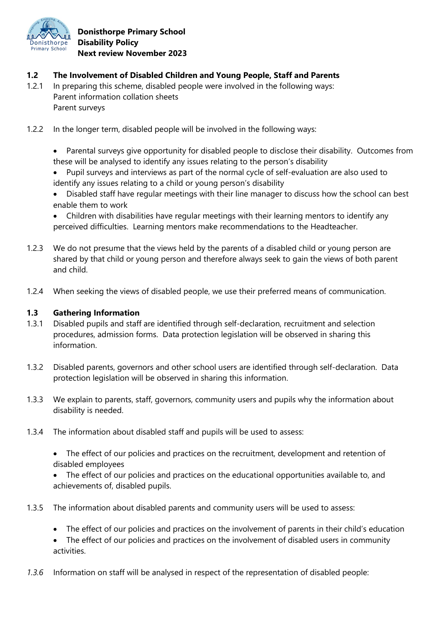

- **1.2 The Involvement of Disabled Children and Young People, Staff and Parents**
- 1.2.1 In preparing this scheme, disabled people were involved in the following ways: Parent information collation sheets Parent surveys
- 1.2.2 In the longer term, disabled people will be involved in the following ways:
	- Parental surveys give opportunity for disabled people to disclose their disability. Outcomes from these will be analysed to identify any issues relating to the person's disability
	- Pupil surveys and interviews as part of the normal cycle of self-evaluation are also used to identify any issues relating to a child or young person's disability
	- Disabled staff have regular meetings with their line manager to discuss how the school can best enable them to work
	- Children with disabilities have regular meetings with their learning mentors to identify any perceived difficulties. Learning mentors make recommendations to the Headteacher.
- 1.2.3 We do not presume that the views held by the parents of a disabled child or young person are shared by that child or young person and therefore always seek to gain the views of both parent and child.
- 1.2.4 When seeking the views of disabled people, we use their preferred means of communication.

#### **1.3 Gathering Information**

- 1.3.1 Disabled pupils and staff are identified through self-declaration, recruitment and selection procedures, admission forms. Data protection legislation will be observed in sharing this information.
- 1.3.2 Disabled parents, governors and other school users are identified through self-declaration. Data protection legislation will be observed in sharing this information.
- 1.3.3 We explain to parents, staff, governors, community users and pupils why the information about disability is needed.
- 1.3.4 The information about disabled staff and pupils will be used to assess:
	- The effect of our policies and practices on the recruitment, development and retention of disabled employees
	- The effect of our policies and practices on the educational opportunities available to, and achievements of, disabled pupils.
- 1.3.5 The information about disabled parents and community users will be used to assess:
	- The effect of our policies and practices on the involvement of parents in their child's education
	- The effect of our policies and practices on the involvement of disabled users in community activities.
- *1.3.6* Information on staff will be analysed in respect of the representation of disabled people: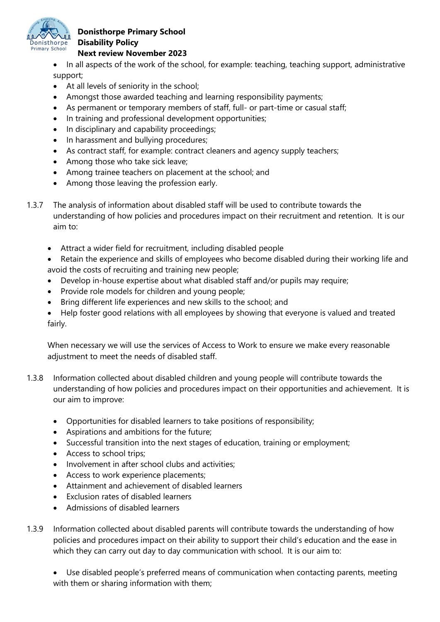

## **Donisthorpe Primary School Disability Policy**

#### **Next review November 2023**

- In all aspects of the work of the school, for example: teaching, teaching support, administrative support;
- At all levels of seniority in the school;
- Amongst those awarded teaching and learning responsibility payments;
- As permanent or temporary members of staff, full- or part-time or casual staff;
- In training and professional development opportunities;
- In disciplinary and capability proceedings;
- In harassment and bullying procedures;
- As contract staff, for example: contract cleaners and agency supply teachers;
- Among those who take sick leave;
- Among trainee teachers on placement at the school; and
- Among those leaving the profession early.
- 1.3.7 The analysis of information about disabled staff will be used to contribute towards the understanding of how policies and procedures impact on their recruitment and retention. It is our aim to:
	- Attract a wider field for recruitment, including disabled people
	- Retain the experience and skills of employees who become disabled during their working life and avoid the costs of recruiting and training new people;
	- Develop in-house expertise about what disabled staff and/or pupils may require;
	- Provide role models for children and young people;
	- Bring different life experiences and new skills to the school; and
	- Help foster good relations with all employees by showing that everyone is valued and treated fairly.

When necessary we will use the services of Access to Work to ensure we make every reasonable adjustment to meet the needs of disabled staff.

- 1.3.8 Information collected about disabled children and young people will contribute towards the understanding of how policies and procedures impact on their opportunities and achievement. It is our aim to improve:
	- Opportunities for disabled learners to take positions of responsibility;
	- Aspirations and ambitions for the future;
	- Successful transition into the next stages of education, training or employment;
	- Access to school trips;
	- Involvement in after school clubs and activities;
	- Access to work experience placements;
	- Attainment and achievement of disabled learners
	- Exclusion rates of disabled learners
	- Admissions of disabled learners
- 1.3.9 Information collected about disabled parents will contribute towards the understanding of how policies and procedures impact on their ability to support their child's education and the ease in which they can carry out day to day communication with school. It is our aim to:
	- Use disabled people's preferred means of communication when contacting parents, meeting with them or sharing information with them;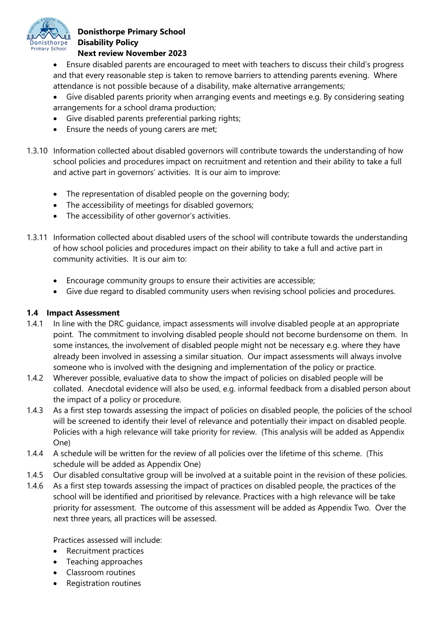

## **Donisthorpe Primary School Disability Policy**

#### **Next review November 2023**

 Ensure disabled parents are encouraged to meet with teachers to discuss their child's progress and that every reasonable step is taken to remove barriers to attending parents evening. Where attendance is not possible because of a disability, make alternative arrangements;

 Give disabled parents priority when arranging events and meetings e.g. By considering seating arrangements for a school drama production;

- Give disabled parents preferential parking rights;
- Ensure the needs of young carers are met;
- 1.3.10 Information collected about disabled governors will contribute towards the understanding of how school policies and procedures impact on recruitment and retention and their ability to take a full and active part in governors' activities. It is our aim to improve:
	- The representation of disabled people on the governing body;
	- The accessibility of meetings for disabled governors;
	- The accessibility of other governor's activities.
- 1.3.11 Information collected about disabled users of the school will contribute towards the understanding of how school policies and procedures impact on their ability to take a full and active part in community activities. It is our aim to:
	- Encourage community groups to ensure their activities are accessible;
	- Give due regard to disabled community users when revising school policies and procedures.

#### **1.4 Impact Assessment**

- 1.4.1 In line with the DRC guidance, impact assessments will involve disabled people at an appropriate point. The commitment to involving disabled people should not become burdensome on them. In some instances, the involvement of disabled people might not be necessary e.g. where they have already been involved in assessing a similar situation. Our impact assessments will always involve someone who is involved with the designing and implementation of the policy or practice.
- 1.4.2 Wherever possible, evaluative data to show the impact of policies on disabled people will be collated. Anecdotal evidence will also be used, e.g. informal feedback from a disabled person about the impact of a policy or procedure.
- 1.4.3 As a first step towards assessing the impact of policies on disabled people, the policies of the school will be screened to identify their level of relevance and potentially their impact on disabled people. Policies with a high relevance will take priority for review. (This analysis will be added as Appendix One)
- 1.4.4 A schedule will be written for the review of all policies over the lifetime of this scheme. (This schedule will be added as Appendix One)
- 1.4.5 Our disabled consultative group will be involved at a suitable point in the revision of these policies.
- 1.4.6 As a first step towards assessing the impact of practices on disabled people, the practices of the school will be identified and prioritised by relevance. Practices with a high relevance will be take priority for assessment. The outcome of this assessment will be added as Appendix Two. Over the next three years, all practices will be assessed.

Practices assessed will include:

- Recruitment practices
- Teaching approaches
- Classroom routines
- Registration routines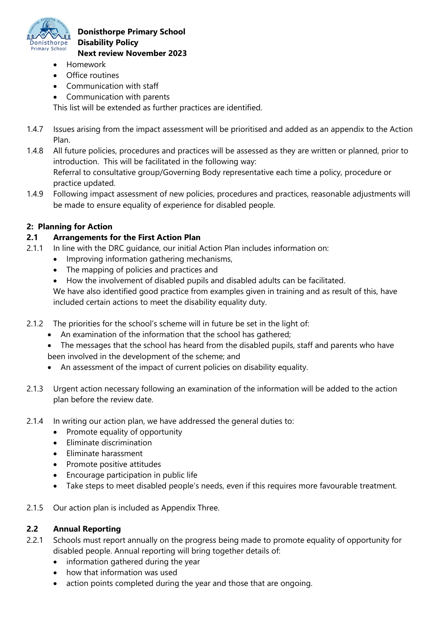

**Donisthorpe Primary School Disability Policy Next review November 2023**

- Homework
- Office routines
- Communication with staff
- Communication with parents

This list will be extended as further practices are identified.

- 1.4.7 Issues arising from the impact assessment will be prioritised and added as an appendix to the Action Plan.
- 1.4.8 All future policies, procedures and practices will be assessed as they are written or planned, prior to introduction. This will be facilitated in the following way: Referral to consultative group/Governing Body representative each time a policy, procedure or practice updated.
- 1.4.9 Following impact assessment of new policies, procedures and practices, reasonable adjustments will be made to ensure equality of experience for disabled people.

## **2: Planning for Action**

## **2.1 Arrangements for the First Action Plan**

- 2.1.1 In line with the DRC quidance, our initial Action Plan includes information on:
	- Improving information gathering mechanisms,
	- The mapping of policies and practices and
	- How the involvement of disabled pupils and disabled adults can be facilitated.

We have also identified good practice from examples given in training and as result of this, have included certain actions to meet the disability equality duty.

- 2.1.2 The priorities for the school's scheme will in future be set in the light of:
	- An examination of the information that the school has gathered;
	- The messages that the school has heard from the disabled pupils, staff and parents who have been involved in the development of the scheme; and
	- An assessment of the impact of current policies on disability equality.
- 2.1.3 Urgent action necessary following an examination of the information will be added to the action plan before the review date.
- 2.1.4 In writing our action plan, we have addressed the general duties to:
	- Promote equality of opportunity
	- Eliminate discrimination
	- Eliminate harassment
	- Promote positive attitudes
	- Encourage participation in public life
	- Take steps to meet disabled people's needs, even if this requires more favourable treatment.
- 2.1.5 Our action plan is included as Appendix Three.

#### **2.2 Annual Reporting**

- 2.2.1 Schools must report annually on the progress being made to promote equality of opportunity for disabled people. Annual reporting will bring together details of:
	- information gathered during the year
	- how that information was used
	- action points completed during the year and those that are ongoing.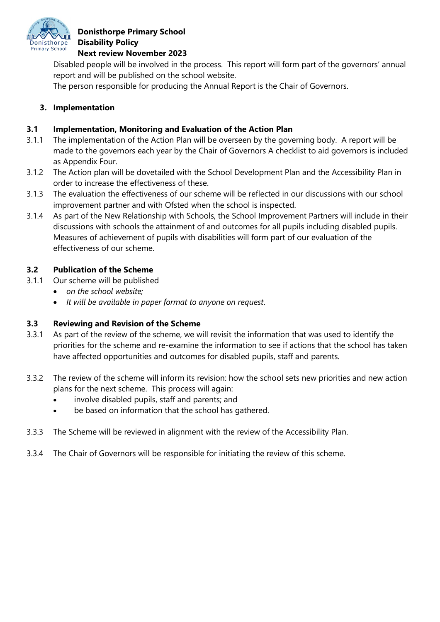

# **Donisthorpe Primary School Disability Policy**

#### **Next review November 2023**

Disabled people will be involved in the process. This report will form part of the governors' annual report and will be published on the school website.

The person responsible for producing the Annual Report is the Chair of Governors.

## **3. Implementation**

## **3.1 Implementation, Monitoring and Evaluation of the Action Plan**

- 3.1.1 The implementation of the Action Plan will be overseen by the governing body. A report will be made to the governors each year by the Chair of Governors A checklist to aid governors is included as Appendix Four.
- 3.1.2 The Action plan will be dovetailed with the School Development Plan and the Accessibility Plan in order to increase the effectiveness of these.
- 3.1.3 The evaluation the effectiveness of our scheme will be reflected in our discussions with our school improvement partner and with Ofsted when the school is inspected.
- 3.1.4 As part of the New Relationship with Schools, the School Improvement Partners will include in their discussions with schools the attainment of and outcomes for all pupils including disabled pupils. Measures of achievement of pupils with disabilities will form part of our evaluation of the effectiveness of our scheme.

## **3.2 Publication of the Scheme**

- 3.1.1 Our scheme will be published
	- *on the school website;*
	- *It will be available in paper format to anyone on request*.

#### **3.3 Reviewing and Revision of the Scheme**

- 3.3.1 As part of the review of the scheme, we will revisit the information that was used to identify the priorities for the scheme and re-examine the information to see if actions that the school has taken have affected opportunities and outcomes for disabled pupils, staff and parents.
- 3.3.2 The review of the scheme will inform its revision: how the school sets new priorities and new action plans for the next scheme. This process will again:
	- involve disabled pupils, staff and parents; and
	- be based on information that the school has gathered.
- 3.3.3 The Scheme will be reviewed in alignment with the review of the Accessibility Plan.
- 3.3.4 The Chair of Governors will be responsible for initiating the review of this scheme.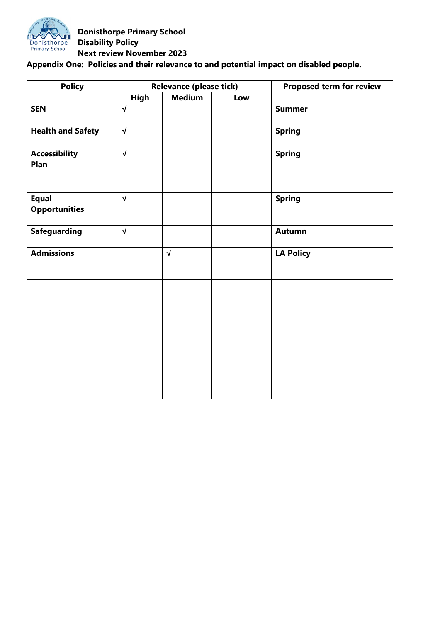

## **Donisthorpe Primary School Disability Policy Next review November 2023**

## **Appendix One: Policies and their relevance to and potential impact on disabled people.**

| <b>Policy</b>                        | <b>Relevance (please tick)</b> |               |     | Proposed term for review |  |
|--------------------------------------|--------------------------------|---------------|-----|--------------------------|--|
|                                      | <b>High</b>                    | <b>Medium</b> | Low |                          |  |
| <b>SEN</b>                           | $\sqrt{ }$                     |               |     | <b>Summer</b>            |  |
| <b>Health and Safety</b>             | $\sqrt{ }$                     |               |     | <b>Spring</b>            |  |
| <b>Accessibility</b><br>Plan         | $\sqrt{ }$                     |               |     | <b>Spring</b>            |  |
| <b>Equal</b><br><b>Opportunities</b> | $\sqrt{ }$                     |               |     | <b>Spring</b>            |  |
| <b>Safeguarding</b>                  | $\sqrt{ }$                     |               |     | <b>Autumn</b>            |  |
| <b>Admissions</b>                    |                                | $\sqrt{ }$    |     | <b>LA Policy</b>         |  |
|                                      |                                |               |     |                          |  |
|                                      |                                |               |     |                          |  |
|                                      |                                |               |     |                          |  |
|                                      |                                |               |     |                          |  |
|                                      |                                |               |     |                          |  |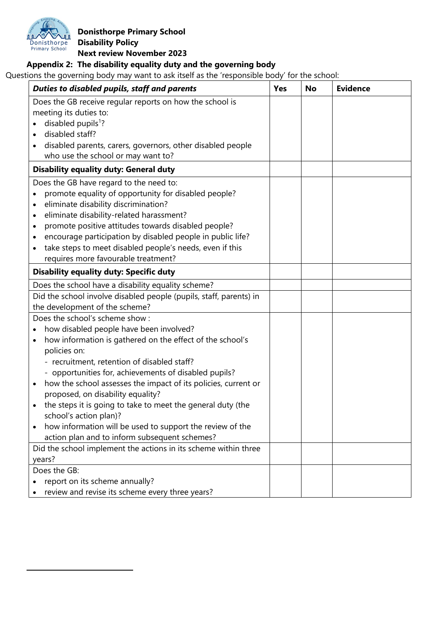

-

## **Appendix 2: The disability equality duty and the governing body**

Questions the governing body may want to ask itself as the 'responsible body' for the school:

| Duties to disabled pupils, staff and parents                                | <b>Yes</b> | <b>No</b> | <b>Evidence</b> |
|-----------------------------------------------------------------------------|------------|-----------|-----------------|
| Does the GB receive regular reports on how the school is                    |            |           |                 |
| meeting its duties to:                                                      |            |           |                 |
| disabled pupils <sup>1</sup> ?                                              |            |           |                 |
| disabled staff?<br>$\bullet$                                                |            |           |                 |
| disabled parents, carers, governors, other disabled people                  |            |           |                 |
| who use the school or may want to?                                          |            |           |                 |
| <b>Disability equality duty: General duty</b>                               |            |           |                 |
| Does the GB have regard to the need to:                                     |            |           |                 |
| promote equality of opportunity for disabled people?                        |            |           |                 |
| eliminate disability discrimination?<br>$\bullet$                           |            |           |                 |
| eliminate disability-related harassment?<br>$\bullet$                       |            |           |                 |
| promote positive attitudes towards disabled people?<br>$\bullet$            |            |           |                 |
| encourage participation by disabled people in public life?<br>$\bullet$     |            |           |                 |
| take steps to meet disabled people's needs, even if this<br>$\bullet$       |            |           |                 |
| requires more favourable treatment?                                         |            |           |                 |
| <b>Disability equality duty: Specific duty</b>                              |            |           |                 |
| Does the school have a disability equality scheme?                          |            |           |                 |
| Did the school involve disabled people (pupils, staff, parents) in          |            |           |                 |
| the development of the scheme?                                              |            |           |                 |
| Does the school's scheme show:                                              |            |           |                 |
| how disabled people have been involved?<br>$\bullet$                        |            |           |                 |
| how information is gathered on the effect of the school's<br>$\bullet$      |            |           |                 |
| policies on:                                                                |            |           |                 |
| - recruitment, retention of disabled staff?                                 |            |           |                 |
| - opportunities for, achievements of disabled pupils?                       |            |           |                 |
| how the school assesses the impact of its policies, current or<br>$\bullet$ |            |           |                 |
| proposed, on disability equality?                                           |            |           |                 |
| the steps it is going to take to meet the general duty (the<br>$\bullet$    |            |           |                 |
| school's action plan)?                                                      |            |           |                 |
| how information will be used to support the review of the<br>$\bullet$      |            |           |                 |
| action plan and to inform subsequent schemes?                               |            |           |                 |
| Did the school implement the actions in its scheme within three<br>years?   |            |           |                 |
| Does the GB:                                                                |            |           |                 |
| report on its scheme annually?                                              |            |           |                 |
| review and revise its scheme every three years?                             |            |           |                 |